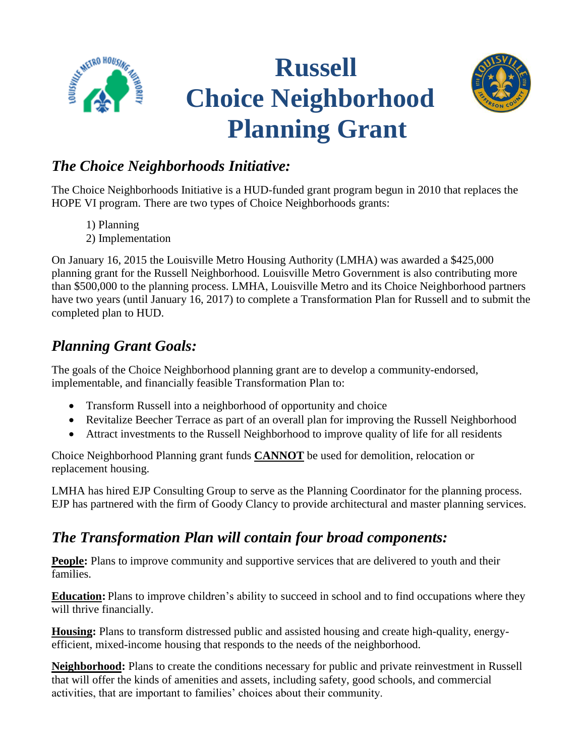

# **Russell Choice Neighborhood Planning Grant**



#### *The Choice Neighborhoods Initiative:*

The Choice Neighborhoods Initiative is a HUD-funded grant program begun in 2010 that replaces the HOPE VI program. There are two types of Choice Neighborhoods grants:

- 1) Planning
- 2) Implementation

On January 16, 2015 the Louisville Metro Housing Authority (LMHA) was awarded a \$425,000 planning grant for the Russell Neighborhood. Louisville Metro Government is also contributing more than \$500,000 to the planning process. LMHA, Louisville Metro and its Choice Neighborhood partners have two years (until January 16, 2017) to complete a Transformation Plan for Russell and to submit the completed plan to HUD.

# *Planning Grant Goals:*

The goals of the Choice Neighborhood planning grant are to develop a community-endorsed, implementable, and financially feasible Transformation Plan to:

- Transform Russell into a neighborhood of opportunity and choice
- Revitalize Beecher Terrace as part of an overall plan for improving the Russell Neighborhood
- Attract investments to the Russell Neighborhood to improve quality of life for all residents

Choice Neighborhood Planning grant funds **CANNOT** be used for demolition, relocation or replacement housing.

LMHA has hired EJP Consulting Group to serve as the Planning Coordinator for the planning process. EJP has partnered with the firm of Goody Clancy to provide architectural and master planning services.

# *The Transformation Plan will contain four broad components:*

**People:** Plans to improve community and supportive services that are delivered to youth and their families.

**Education:** Plans to improve children's ability to succeed in school and to find occupations where they will thrive financially.

**Housing:** Plans to transform distressed public and assisted housing and create high-quality, energyefficient, mixed-income housing that responds to the needs of the neighborhood.

**Neighborhood:** Plans to create the conditions necessary for public and private reinvestment in Russell that will offer the kinds of amenities and assets, including safety, good schools, and commercial activities, that are important to families' choices about their community.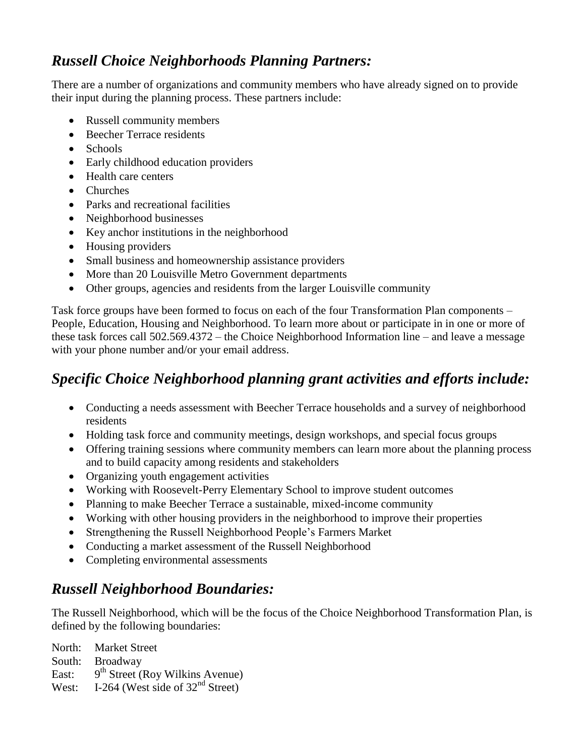#### *Russell Choice Neighborhoods Planning Partners:*

There are a number of organizations and community members who have already signed on to provide their input during the planning process. These partners include:

- Russell community members
- Beecher Terrace residents
- Schools
- Early childhood education providers
- Health care centers
- Churches
- Parks and recreational facilities
- Neighborhood businesses
- Key anchor institutions in the neighborhood
- Housing providers
- Small business and homeownership assistance providers
- More than 20 Louisville Metro Government departments
- Other groups, agencies and residents from the larger Louisville community

Task force groups have been formed to focus on each of the four Transformation Plan components – People, Education, Housing and Neighborhood. To learn more about or participate in in one or more of these task forces call 502.569.4372 – the Choice Neighborhood Information line – and leave a message with your phone number and/or your email address.

# *Specific Choice Neighborhood planning grant activities and efforts include:*

- Conducting a needs assessment with Beecher Terrace households and a survey of neighborhood residents
- Holding task force and community meetings, design workshops, and special focus groups
- Offering training sessions where community members can learn more about the planning process and to build capacity among residents and stakeholders
- Organizing youth engagement activities
- Working with Roosevelt-Perry Elementary School to improve student outcomes
- Planning to make Beecher Terrace a sustainable, mixed-income community
- Working with other housing providers in the neighborhood to improve their properties
- Strengthening the Russell Neighborhood People's Farmers Market
- Conducting a market assessment of the Russell Neighborhood
- Completing environmental assessments

# *Russell Neighborhood Boundaries:*

The Russell Neighborhood, which will be the focus of the Choice Neighborhood Transformation Plan, is defined by the following boundaries:

North: Market Street South: Broadway East: 9<sup>th</sup> Street (Roy Wilkins Avenue) West: I-264 (West side of  $32<sup>nd</sup>$  Street)